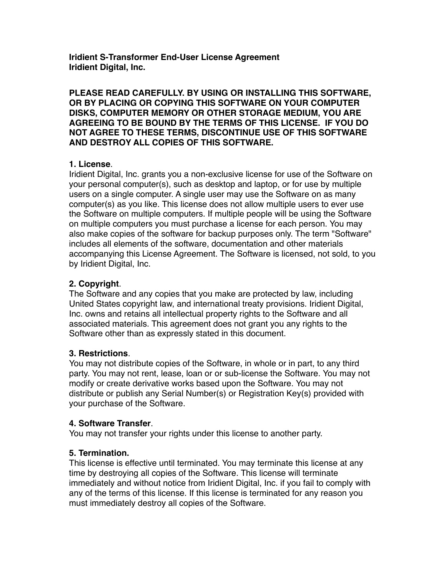**Iridient S-Transformer End-User License Agreement Iridient Digital, Inc.**

**PLEASE READ CAREFULLY. BY USING OR INSTALLING THIS SOFTWARE, OR BY PLACING OR COPYING THIS SOFTWARE ON YOUR COMPUTER DISKS, COMPUTER MEMORY OR OTHER STORAGE MEDIUM, YOU ARE AGREEING TO BE BOUND BY THE TERMS OF THIS LICENSE. IF YOU DO NOT AGREE TO THESE TERMS, DISCONTINUE USE OF THIS SOFTWARE AND DESTROY ALL COPIES OF THIS SOFTWARE.**

### **1. License**.

Iridient Digital, Inc. grants you a non-exclusive license for use of the Software on your personal computer(s), such as desktop and laptop, or for use by multiple users on a single computer. A single user may use the Software on as many computer(s) as you like. This license does not allow multiple users to ever use the Software on multiple computers. If multiple people will be using the Software on multiple computers you must purchase a license for each person. You may also make copies of the software for backup purposes only. The term "Software" includes all elements of the software, documentation and other materials accompanying this License Agreement. The Software is licensed, not sold, to you by Iridient Digital, Inc.

### **2. Copyright**.

The Software and any copies that you make are protected by law, including United States copyright law, and international treaty provisions. Iridient Digital, Inc. owns and retains all intellectual property rights to the Software and all associated materials. This agreement does not grant you any rights to the Software other than as expressly stated in this document.

### **3. Restrictions**.

You may not distribute copies of the Software, in whole or in part, to any third party. You may not rent, lease, loan or or sub-license the Software. You may not modify or create derivative works based upon the Software. You may not distribute or publish any Serial Number(s) or Registration Key(s) provided with your purchase of the Software.

### **4. Software Transfer**.

You may not transfer your rights under this license to another party.

### **5. Termination.**

This license is effective until terminated. You may terminate this license at any time by destroying all copies of the Software. This license will terminate immediately and without notice from Iridient Digital, Inc. if you fail to comply with any of the terms of this license. If this license is terminated for any reason you must immediately destroy all copies of the Software.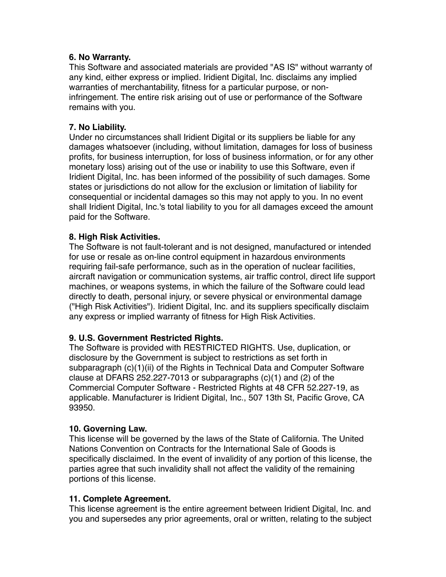### **6. No Warranty.**

This Software and associated materials are provided "AS IS" without warranty of any kind, either express or implied. Iridient Digital, Inc. disclaims any implied warranties of merchantability, fitness for a particular purpose, or noninfringement. The entire risk arising out of use or performance of the Software remains with you.

## **7. No Liability.**

Under no circumstances shall Iridient Digital or its suppliers be liable for any damages whatsoever (including, without limitation, damages for loss of business profits, for business interruption, for loss of business information, or for any other monetary loss) arising out of the use or inability to use this Software, even if Iridient Digital, Inc. has been informed of the possibility of such damages. Some states or jurisdictions do not allow for the exclusion or limitation of liability for consequential or incidental damages so this may not apply to you. In no event shall Iridient Digital, Inc.'s total liability to you for all damages exceed the amount paid for the Software.

### **8. High Risk Activities.**

The Software is not fault-tolerant and is not designed, manufactured or intended for use or resale as on-line control equipment in hazardous environments requiring fail-safe performance, such as in the operation of nuclear facilities, aircraft navigation or communication systems, air traffic control, direct life support machines, or weapons systems, in which the failure of the Software could lead directly to death, personal injury, or severe physical or environmental damage ("High Risk Activities"). Iridient Digital, Inc. and its suppliers specifically disclaim any express or implied warranty of fitness for High Risk Activities.

# **9. U.S. Government Restricted Rights.**

The Software is provided with RESTRICTED RIGHTS. Use, duplication, or disclosure by the Government is subject to restrictions as set forth in subparagraph (c)(1)(ii) of the Rights in Technical Data and Computer Software clause at DFARS 252.227-7013 or subparagraphs (c)(1) and (2) of the Commercial Computer Software - Restricted Rights at 48 CFR 52.227-19, as applicable. Manufacturer is Iridient Digital, Inc., 507 13th St, Pacific Grove, CA 93950.

### **10. Governing Law.**

This license will be governed by the laws of the State of California. The United Nations Convention on Contracts for the International Sale of Goods is specifically disclaimed. In the event of invalidity of any portion of this license, the parties agree that such invalidity shall not affect the validity of the remaining portions of this license.

### **11. Complete Agreement.**

This license agreement is the entire agreement between Iridient Digital, Inc. and you and supersedes any prior agreements, oral or written, relating to the subject